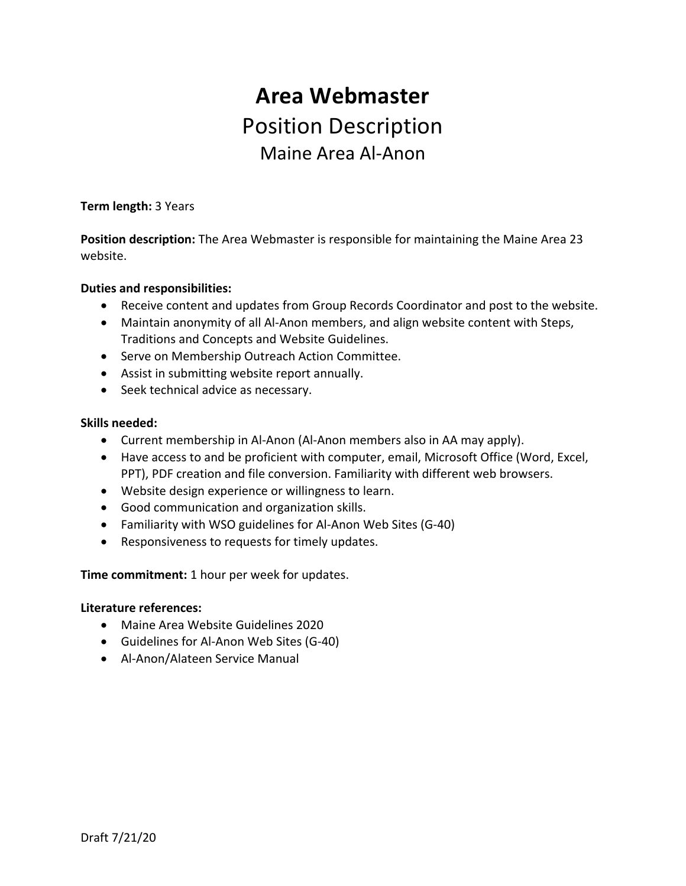# **Area Webmaster** Position Description Maine Area Al-Anon

**Term length:** 3 Years

**Position description:** The Area Webmaster is responsible for maintaining the Maine Area 23 website.

## **Duties and responsibilities:**

- Receive content and updates from Group Records Coordinator and post to the website.
- Maintain anonymity of all Al-Anon members, and align website content with Steps, Traditions and Concepts and Website Guidelines.
- Serve on Membership Outreach Action Committee.
- Assist in submitting website report annually.
- Seek technical advice as necessary.

#### Skills needed:

- Current membership in Al-Anon (Al-Anon members also in AA may apply).
- Have access to and be proficient with computer, email, Microsoft Office (Word, Excel, PPT), PDF creation and file conversion. Familiarity with different web browsers.
- Website design experience or willingness to learn.
- Good communication and organization skills.
- Familiarity with WSO guidelines for Al-Anon Web Sites (G-40)
- Responsiveness to requests for timely updates.

**Time commitment:** 1 hour per week for updates.

### Literature references:

- Maine Area Website Guidelines 2020
- Guidelines for Al-Anon Web Sites (G-40)
- Al-Anon/Alateen Service Manual